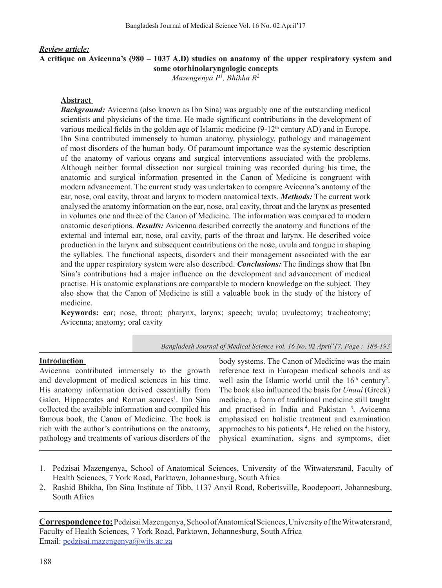# *Review article:* **A critique on Avicenna's (980 – 1037 A.D) studies on anatomy of the upper respiratory system and some otorhinolaryngologic concepts**

*Mazengenya P<sup>1</sup> , Bhikha R<sup>2</sup>*

#### **Abstract**

**Background:** Avicenna (also known as Ibn Sina) was arguably one of the outstanding medical scientists and physicians of the time. He made significant contributions in the development of various medical fields in the golden age of Islamic medicine  $(9-12<sup>th</sup>$  century AD) and in Europe. Ibn Sina contributed immensely to human anatomy, physiology, pathology and management of most disorders of the human body. Of paramount importance was the systemic description of the anatomy of various organs and surgical interventions associated with the problems. Although neither formal dissection nor surgical training was recorded during his time, the anatomic and surgical information presented in the Canon of Medicine is congruent with modern advancement. The current study was undertaken to compare Avicenna's anatomy of the ear, nose, oral cavity, throat and larynx to modern anatomical texts. *Methods***:** The current work analysed the anatomy information on the ear, nose, oral cavity, throat and the larynx as presented in volumes one and three of the Canon of Medicine. The information was compared to modern anatomic descriptions. *Results:* Avicenna described correctly the anatomy and functions of the external and internal ear, nose, oral cavity, parts of the throat and larynx. He described voice production in the larynx and subsequent contributions on the nose, uvula and tongue in shaping the syllables. The functional aspects, disorders and their management associated with the ear and the upper respiratory system were also described. *Conclusions:* The findings show that Ibn Sina's contributions had a major influence on the development and advancement of medical practise. His anatomic explanations are comparable to modern knowledge on the subject. They also show that the Canon of Medicine is still a valuable book in the study of the history of medicine.

**Keywords:** ear; nose, throat; pharynx, larynx; speech; uvula; uvulectomy; tracheotomy; Avicenna; anatomy; oral cavity

*Bangladesh Journal of Medical Science Vol. 16 No. 02 April'17. Page : 188-193*

#### **Introduction**

Avicenna contributed immensely to the growth and development of medical sciences in his time. His anatomy information derived essentially from Galen, Hippocrates and Roman sources<sup>1</sup>. Ibn Sina collected the available information and compiled his famous book, the Canon of Medicine. The book is rich with the author's contributions on the anatomy, pathology and treatments of various disorders of the

body systems. The Canon of Medicine was the main reference text in European medical schools and as well asin the Islamic world until the  $16<sup>th</sup>$  century<sup>2</sup>. The book also influenced the basis for *Unani* (Greek) medicine, a form of traditional medicine still taught and practised in India and Pakistan<sup>3</sup>. Avicenna emphasised on holistic treatment and examination approaches to his patients  $4$ . He relied on the history, physical examination, signs and symptoms, diet

- 1. Pedzisai Mazengenya, School of Anatomical Sciences, University of the Witwatersrand, Faculty of Health Sciences, 7 York Road, Parktown, Johannesburg, South Africa
- 2. Rashid Bhikha, Ibn Sina Institute of Tibb, 1137 Anvil Road, Robertsville, Roodepoort, Johannesburg, South Africa

**Correspondence to:** Pedzisai Mazengenya, School of Anatomical Sciences, University of the Witwatersrand, Faculty of Health Sciences, 7 York Road, Parktown, Johannesburg, South Africa Email: pedzisai.mazengenya@wits.ac.za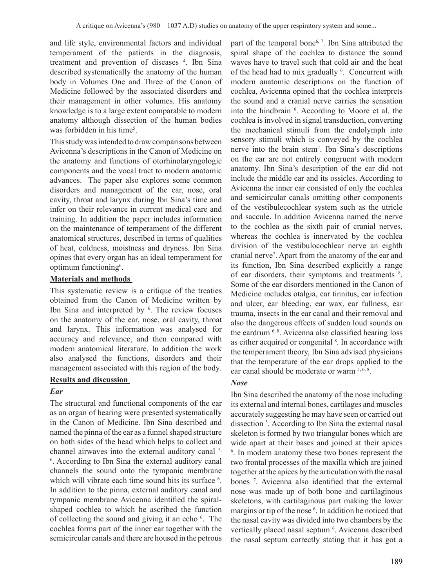and life style, environmental factors and individual temperament of the patients in the diagnosis, treatment and prevention of diseases <sup>4</sup>. Ibn Sina described systematically the anatomy of the human body in Volumes One and Three of the Canon of Medicine followed by the associated disorders and their management in other volumes. His anatomy knowledge is to a large extent comparable to modern anatomy although dissection of the human bodies was forbidden in his time<sup>5</sup>.

This study was intended to draw comparisons between Avicenna's descriptions in the Canon of Medicine on the anatomy and functions of otorhinolaryngologic components and the vocal tract to modern anatomic advances. The paper also explores some common disorders and management of the ear, nose, oral cavity, throat and larynx during Ibn Sina's time and infer on their relevance in current medical care and training. In addition the paper includes information on the maintenance of temperament of the different anatomical structures, described in terms of qualities of heat, coldness, moistness and dryness. Ibn Sina opines that every organ has an ideal temperament for optimum functioning<sup>6</sup>.

# **Materials and methods**

This systematic review is a critique of the treaties obtained from the Canon of Medicine written by Ibn Sina and interpreted by  $6$ . The review focuses on the anatomy of the ear, nose, oral cavity, throat and larynx. This information was analysed for accuracy and relevance, and then compared with modern anatomical literature. In addition the work also analysed the functions, disorders and their management associated with this region of the body.

# **Results and discussion**

# *Ear*

The structural and functional components of the ear as an organ of hearing were presented systematically in the Canon of Medicine. Ibn Sina described and named the pinna of the ear as a funnel shaped structure on both sides of the head which helps to collect and channel airwaves into the external auditory canal  $5$ , 6 . According to Ibn Sina the external auditory canal channels the sound onto the tympanic membrane which will vibrate each time sound hits its surface <sup>6</sup>. In addition to the pinna, external auditory canal and tympanic membrane Avicenna identified the spiralshaped cochlea to which he ascribed the function of collecting the sound and giving it an echo <sup>6</sup>. The cochlea forms part of the inner ear together with the semicircular canals and there are housed in the petrous

part of the temporal bone6, 7. Ibn Sina attributed the spiral shape of the cochlea to distance the sound waves have to travel such that cold air and the heat of the head had to mix gradually <sup>6</sup>. Concurrent with modern anatomic descriptions on the function of cochlea, Avicenna opined that the cochlea interprets the sound and a cranial nerve carries the sensation into the hindbrain <sup>6</sup>. According to Moore et al. the cochlea is involved in signal transduction, converting the mechanical stimuli from the endolymph into sensory stimuli which is conveyed by the cochlea nerve into the brain stem<sup>7</sup> . Ibn Sina's descriptions on the ear are not entirely congruent with modern anatomy. Ibn Sina's description of the ear did not include the middle ear and its ossicles. According to Avicenna the inner ear consisted of only the cochlea and semicircular canals omitting other components of the vestibulecochlear system such as the utricle and saccule. In addition Avicenna named the nerve to the cochlea as the sixth pair of cranial nerves, whereas the cochlea is innervated by the cochlea division of the vestibulocochlear nerve an eighth cranial nerve<sup>7</sup> . Apart from the anatomy of the ear and its function, Ibn Sina described explicitly a range of ear disorders, their symptoms and treatments <sup>8</sup>. Some of the ear disorders mentioned in the Canon of Medicine includes otalgia, ear tinnitus, ear infection and ulcer, ear bleeding, ear wax, ear fullness, ear trauma, insects in the ear canal and their removal and also the dangerous effects of sudden loud sounds on the eardrum  $6, 8$ . Avicenna also classified hearing loss as either acquired or congenital  $8$ . In accordance with the temperament theory, Ibn Sina advised physicians that the temperature of the ear drops applied to the ear canal should be moderate or warm  $5, 6, 8$ .

# *Nose*

Ibn Sina described the anatomy of the nose including its external and internal bones, cartilages and muscles accurately suggesting he may have seen or carried out dissection <sup>3</sup> . According to Ibn Sina the external nasal skeleton is formed by two triangular bones which are wide apart at their bases and joined at their apices <sup>6</sup>. In modern anatomy these two bones represent the two frontal processes of the maxilla which are joined together at the apices by the articulation with the nasal bones <sup>7</sup>. Avicenna also identified that the external nose was made up of both bone and cartilaginous skeletons, with cartilaginous part making the lower margins or tip of the nose <sup>6</sup>. In addition he noticed that the nasal cavity was divided into two chambers by the vertically placed nasal septum <sup>6</sup>. Avicenna described the nasal septum correctly stating that it has got a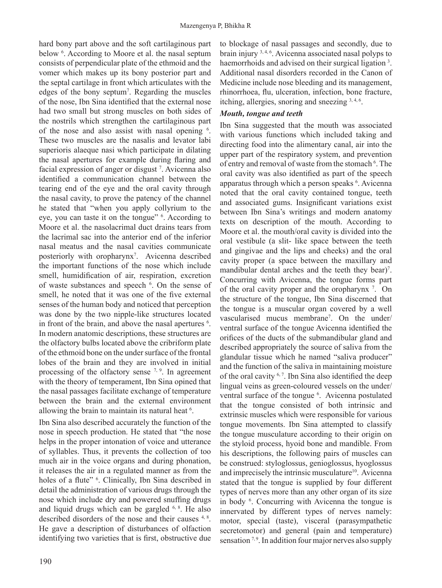hard bony part above and the soft cartilaginous part below<sup>6</sup>. According to Moore et al. the nasal septum consists of perpendicular plate of the ethmoid and the vomer which makes up its bony posterior part and the septal cartilage in front which articulates with the edges of the bony septum<sup>7</sup> . Regarding the muscles of the nose, Ibn Sina identified that the external nose had two small but strong muscles on both sides of the nostrils which strengthen the cartilaginous part of the nose and also assist with nasal opening  $6$ . These two muscles are the nasalis and levator labi superioris alaeque nasi which participate in dilating the nasal apertures for example during flaring and facial expression of anger or disgust<sup>7</sup>. Avicenna also identified a communication channel between the tearing end of the eye and the oral cavity through the nasal cavity, to prove the patency of the channel he stated that "when you apply collyrium to the eye, you can taste it on the tongue"  $6$ . According to Moore et al. the nasolacrimal duct drains tears from the lacrimal sac into the anterior end of the inferior nasal meatus and the nasal cavities communicate posteriorly with oropharynx<sup>7</sup>. Avicenna described the important functions of the nose which include smell, humidification of air, respiration, excretion of waste substances and speech <sup>6</sup>. On the sense of smell, he noted that it was one of the five external senses of the human body and noticed that perception was done by the two nipple-like structures located in front of the brain, and above the nasal apertures <sup>6</sup>. In modern anatomic descriptions, these structures are the olfactory bulbs located above the cribriform plate of the ethmoid bone on the under surface of the frontal lobes of the brain and they are involved in initial processing of the olfactory sense  $7, 9$ . In agreement with the theory of temperament, Ibn Sina opined that the nasal passages facilitate exchange of temperature between the brain and the external environment allowing the brain to maintain its natural heat <sup>6</sup>.

Ibn Sina also described accurately the function of the nose in speech production. He stated that "the nose helps in the proper intonation of voice and utterance of syllables. Thus, it prevents the collection of too much air in the voice organs and during phonation, it releases the air in a regulated manner as from the holes of a flute" <sup>6</sup>. Clinically, Ibn Sina described in detail the administration of various drugs through the nose which include dry and powered snuffing drugs and liquid drugs which can be gargled  $6, 8$ . He also described disorders of the nose and their causes <sup>4, 8</sup>. He gave a description of disturbances of olfaction identifying two varieties that is first, obstructive due

to blockage of nasal passages and secondly, due to brain injury  $3, 4, 6$ . Avicenna associated nasal polyps to haemorrhoids and advised on their surgical ligation<sup>3</sup>. Additional nasal disorders recorded in the Canon of Medicine include nose bleeding and its management, rhinorrhoea, flu, ulceration, infection, bone fracture, itching, allergies, snoring and sneezing 3, 4, 6.

## *Mouth, tongue and teeth*

Ibn Sina suggested that the mouth was associated with various functions which included taking and directing food into the alimentary canal, air into the upper part of the respiratory system, and prevention of entry and removal of waste from the stomach<sup>6</sup>. The oral cavity was also identified as part of the speech apparatus through which a person speaks <sup>6</sup>. Avicenna noted that the oral cavity contained tongue, teeth and associated gums. Insignificant variations exist between Ibn Sina's writings and modern anatomy texts on description of the mouth. According to Moore et al. the mouth/oral cavity is divided into the oral vestibule (a slit- like space between the teeth and gingivae and the lips and cheeks) and the oral cavity proper (a space between the maxillary and mandibular dental arches and the teeth they bear)<sup>7</sup>. Concurring with Avicenna, the tongue forms part of the oral cavity proper and the oropharynx<sup>7</sup>. On the structure of the tongue, Ibn Sina discerned that the tongue is a muscular organ covered by a well vascularised mucus membrane<sup>7</sup> . On the under/ ventral surface of the tongue Avicenna identified the orifices of the ducts of the submandibular gland and described appropriately the source of saliva from the glandular tissue which he named "saliva producer" and the function of the saliva in maintaining moisture of the oral cavity  $6.7$ . Ibn Sina also identified the deep lingual veins as green-coloured vessels on the under/ ventral surface of the tongue <sup>6</sup>. Avicenna postulated that the tongue consisted of both intrinsic and extrinsic muscles which were responsible for various tongue movements. Ibn Sina attempted to classify the tongue musculature according to their origin on the styloid process, hyoid bone and mandible. From his descriptions, the following pairs of muscles can be construed: styloglossus, genioglossus, hyoglossus and imprecisely the intrinsic musculature<sup>10</sup>. Avicenna stated that the tongue is supplied by four different types of nerves more than any other organ of its size in body <sup>6</sup>. Concurring with Avicenna the tongue is innervated by different types of nerves namely: motor, special (taste), visceral (parasympathetic secretomotor) and general (pain and temperature) sensation  $7.9$ . In addition four major nerves also supply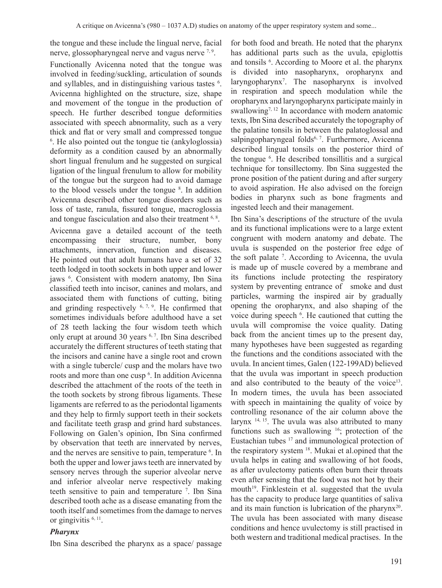the tongue and these include the lingual nerve, facial nerve, glossopharyngeal nerve and vagus nerve <sup>7, 9</sup>.

Functionally Avicenna noted that the tongue was involved in feeding/suckling, articulation of sounds and syllables, and in distinguishing various tastes <sup>6</sup>. Avicenna highlighted on the structure, size, shape and movement of the tongue in the production of speech. He further described tongue deformities associated with speech abnormality, such as a very thick and flat or very small and compressed tongue  $6$ . He also pointed out the tongue tie (ankyloglossia) deformity as a condition caused by an abnormally short lingual frenulum and he suggested on surgical ligation of the lingual frenulum to allow for mobility of the tongue but the surgeon had to avoid damage to the blood vessels under the tongue <sup>8</sup>. In addition Avicenna described other tongue disorders such as loss of taste, ranula, fissured tongue, macroglossia and tongue fasciculation and also their treatment <sup>6, 8</sup>. Avicenna gave a detailed account of the teeth encompassing their structure, number, bony attachments, innervation, function and diseases. He pointed out that adult humans have a set of 32 teeth lodged in tooth sockets in both upper and lower jaws <sup>6</sup>. Consistent with modern anatomy, Ibn Sina classified teeth into incisor, canines and molars, and associated them with functions of cutting, biting and grinding respectively  $6, 7, 9$ . He confirmed that sometimes individuals before adulthood have a set of 28 teeth lacking the four wisdom teeth which only erupt at around 30 years <sup>6, 7</sup>. Ibn Sina described accurately the different structures of teeth stating that the incisors and canine have a single root and crown with a single tubercle/ cusp and the molars have two roots and more than one cusp <sup>6</sup> . In addition Avicenna described the attachment of the roots of the teeth in the tooth sockets by strong fibrous ligaments. These ligaments are referred to as the periodontal ligaments and they help to firmly support teeth in their sockets and facilitate teeth grasp and grind hard substances. Following on Galen's opinion, Ibn Sina confirmed by observation that teeth are innervated by nerves, and the nerves are sensitive to pain, temperature <sup>6</sup>. In both the upper and lower jaws teeth are innervated by sensory nerves through the superior alveolar nerve and inferior alveolar nerve respectively making teeth sensitive to pain and temperature <sup>7</sup> . Ibn Sina described tooth ache as a disease emanating from the tooth itself and sometimes from the damage to nerves or gingivitis <sup>6, 11</sup>.

#### *Pharynx*

Ibn Sina described the pharynx as a space/ passage

for both food and breath. He noted that the pharynx has additional parts such as the uvula, epiglottis and tonsils <sup>6</sup>. According to Moore et al. the pharynx is divided into nasopharynx, oropharynx and laryngopharynx<sup>7</sup> . The nasopharynx is involved in respiration and speech modulation while the oropharynx and laryngopharynx participate mainly in swallowing<sup>7, 12</sup> In accordance with modern anatomic texts, Ibn Sina described accurately the topography of the palatine tonsils in between the palatoglossal and salpingopharyngeal folds<sup>6, 7</sup>. Furthermore, Avicenna described lingual tonsils on the posterior third of the tongue <sup>6</sup>. He described tonsillitis and a surgical technique for tonsillectomy. Ibn Sina suggested the prone position of the patient during and after surgery to avoid aspiration. He also advised on the foreign bodies in pharynx such as bone fragments and ingested leech and their management.

Ibn Sina's descriptions of the structure of the uvula and its functional implications were to a large extent congruent with modern anatomy and debate. The uvula is suspended on the posterior free edge of the soft palate <sup>7</sup> . According to Avicenna, the uvula is made up of muscle covered by a membrane and its functions include protecting the respiratory system by preventing entrance of smoke and dust particles, warming the inspired air by gradually opening the oropharynx, and also shaping of the voice during speech <sup>6</sup>. He cautioned that cutting the uvula will compromise the voice quality. Dating back from the ancient times up to the present day, many hypotheses have been suggested as regarding the functions and the conditions associated with the uvula. In ancient times, Galen (122-199AD) believed that the uvula was important in speech production and also contributed to the beauty of the voice<sup>13</sup>. In modern times, the uvula has been associated with speech in maintaining the quality of voice by controlling resonance of the air column above the larynx  $14, 15$ . The uvula was also attributed to many functions such as swallowing  $16$ ; protection of the Eustachian tubes <sup>17</sup> and immunological protection of the respiratory system <sup>18</sup>. Mukai et al.opined that the uvula helps in eating and swallowing of hot foods, as after uvulectomy patients often burn their throats even after sensing that the food was not hot by their mouth<sup>19</sup>. Finklestein et al. suggested that the uvula has the capacity to produce large quantities of saliva and its main function is lubrication of the pharynx<sup>20</sup>. The uvula has been associated with many disease conditions and hence uvulectomy is still practised in both western and traditional medical practises. In the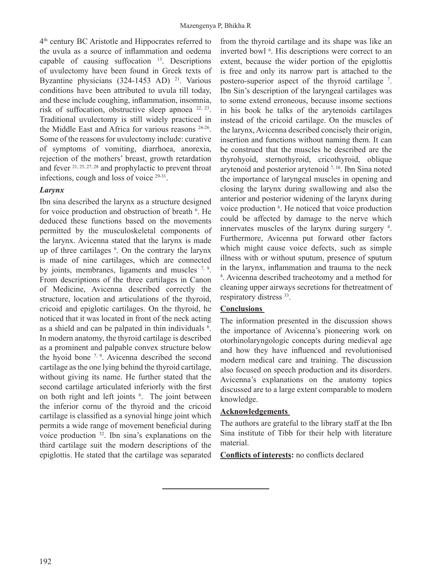$4<sup>th</sup>$  century BC Aristotle and Hippocrates referred to the uvula as a source of inflammation and oedema capable of causing suffocation  $13$ . Descriptions of uvulectomy have been found in Greek texts of Byzantine physicians (324-1453 AD) <sup>21</sup>. Various conditions have been attributed to uvula till today, and these include coughing, inflammation, insomnia, risk of suffocation, obstructive sleep apnoea  $22, 23$ . Traditional uvulectomy is still widely practiced in the Middle East and Africa for various reasons 24-26 . Some of the reasons for uvulectomy include: curative of symptoms of vomiting, diarrhoea, anorexia, rejection of the mothers' breast, growth retardation and fever 21, 25, 27, 28 and prophylactic to prevent throat infections, cough and loss of voice <sup>29-31</sup>.

## *Larynx*

Ibn sina described the larynx as a structure designed for voice production and obstruction of breath <sup>6</sup>. He deduced these functions based on the movements permitted by the musculoskeletal components of the larynx. Avicenna stated that the larynx is made up of three cartilages <sup>6</sup> . On the contrary the larynx is made of nine cartilages, which are connected by joints, membranes, ligaments and muscles  $7, 9$ . From descriptions of the three cartilages in Canon of Medicine, Avicenna described correctly the structure, location and articulations of the thyroid, cricoid and epiglotic cartilages. On the thyroid, he noticed that it was located in front of the neck acting as a shield and can be palpated in thin individuals <sup>6</sup>. In modern anatomy, the thyroid cartilage is described as a prominent and palpable convex structure below the hyoid bone  $7, 9$ . Avicenna described the second cartilage as the one lying behind the thyroid cartilage, without giving its name. He further stated that the second cartilage articulated inferiorly with the first on both right and left joints <sup>6</sup>. The joint between the inferior cornu of the thyroid and the cricoid cartilage is classified as a synovial hinge joint which permits a wide range of movement beneficial during voice production <sup>32</sup>. Ibn sina's explanations on the third cartilage suit the modern descriptions of the epiglottis. He stated that the cartilage was separated

from the thyroid cartilage and its shape was like an inverted bowl <sup>6</sup>. His descriptions were correct to an extent, because the wider portion of the epiglottis is free and only its narrow part is attached to the postero-superior aspect of the thyroid cartilage <sup>7</sup> . Ibn Sin's description of the laryngeal cartilages was to some extend erroneous, because insome sections in his book he talks of the arytenoids cartilages instead of the cricoid cartilage. On the muscles of the larynx, Avicenna described concisely their origin, insertion and functions without naming them. It can be construed that the muscles he described are the thyrohyoid, sternothyroid, cricothyroid, oblique arytenoid and posterior arytenoid 7, 10. Ibn Sina noted the importance of laryngeal muscles in opening and closing the larynx during swallowing and also the anterior and posterior widening of the larynx during voice production <sup>6</sup>. He noticed that voice production could be affected by damage to the nerve which innervates muscles of the larynx during surgery <sup>4</sup>. Furthermore, Avicenna put forward other factors which might cause voice defects, such as simple illness with or without sputum, presence of sputum in the larynx, inflammation and trauma to the neck 4 . Avicenna described tracheotomy and a method for cleaning upper airways secretions for thetreatment of respiratory distress 33.

## **Conclusions**

The information presented in the discussion shows the importance of Avicenna's pioneering work on otorhinolaryngologic concepts during medieval age and how they have influenced and revolutionised modern medical care and training. The discussion also focused on speech production and its disorders. Avicenna's explanations on the anatomy topics discussed are to a large extent comparable to modern knowledge.

#### **Acknowledgements**

The authors are grateful to the library staff at the Ibn Sina institute of Tibb for their help with literature material.

**Conflicts of interests:** no conflicts declared